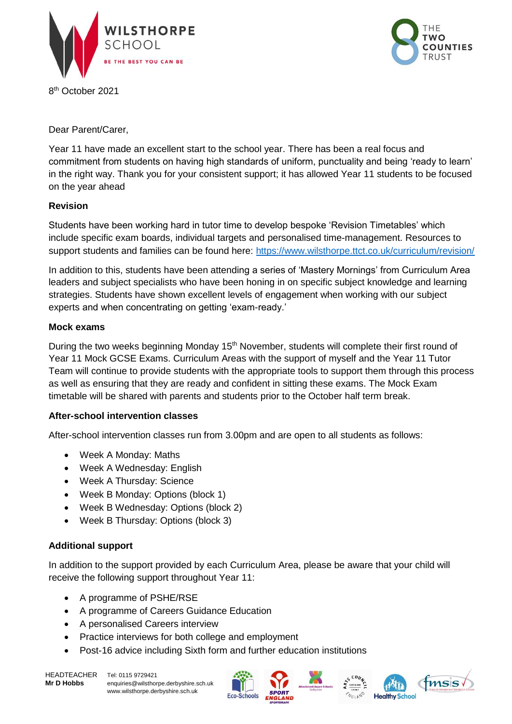

8 th October 2021



Dear Parent/Carer,

Year 11 have made an excellent start to the school year. There has been a real focus and commitment from students on having high standards of uniform, punctuality and being 'ready to learn' in the right way. Thank you for your consistent support; it has allowed Year 11 students to be focused on the year ahead

## **Revision**

Students have been working hard in tutor time to develop bespoke 'Revision Timetables' which include specific exam boards, individual targets and personalised time-management. Resources to support students and families can be found here:<https://www.wilsthorpe.ttct.co.uk/curriculum/revision/>

In addition to this, students have been attending a series of 'Mastery Mornings' from Curriculum Area leaders and subject specialists who have been honing in on specific subject knowledge and learning strategies. Students have shown excellent levels of engagement when working with our subject experts and when concentrating on getting 'exam-ready.'

## **Mock exams**

During the two weeks beginning Monday 15<sup>th</sup> November, students will complete their first round of Year 11 Mock GCSE Exams. Curriculum Areas with the support of myself and the Year 11 Tutor Team will continue to provide students with the appropriate tools to support them through this process as well as ensuring that they are ready and confident in sitting these exams. The Mock Exam timetable will be shared with parents and students prior to the October half term break.

### **After-school intervention classes**

After-school intervention classes run from 3.00pm and are open to all students as follows:

- Week A Monday: Maths
- Week A Wednesday: English
- Week A Thursday: Science
- Week B Monday: Options (block 1)
- Week B Wednesday: Options (block 2)
- Week B Thursday: Options (block 3)

### **Additional support**

In addition to the support provided by each Curriculum Area, please be aware that your child will receive the following support throughout Year 11:

- A programme of PSHE/RSE
- A programme of Careers Guidance Education
- A personalised Careers interview
- Practice interviews for both college and employment
- Post-16 advice including Sixth form and further education institutions